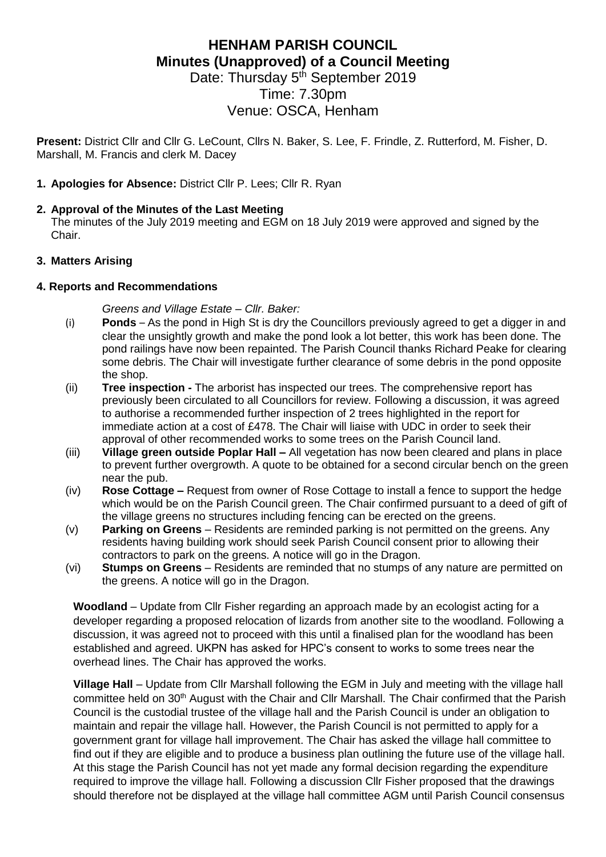## **HENHAM PARISH COUNCIL Minutes (Unapproved) of a Council Meeting** Date: Thursday 5<sup>th</sup> September 2019

# Time: 7.30pm Venue: OSCA, Henham

**Present:** District Cllr and Cllr G. LeCount, Cllrs N. Baker, S. Lee, F. Frindle, Z. Rutterford, M. Fisher, D. Marshall, M. Francis and clerk M. Dacey

#### **1. Apologies for Absence:** District Cllr P. Lees; Cllr R. Ryan

#### **2. Approval of the Minutes of the Last Meeting**

The minutes of the July 2019 meeting and EGM on 18 July 2019 were approved and signed by the Chair.

#### **3. Matters Arising**

#### **4. Reports and Recommendations**

*Greens and Village Estate – Cllr. Baker:*

- (i) **Ponds**  As the pond in High St is dry the Councillors previously agreed to get a digger in and clear the unsightly growth and make the pond look a lot better, this work has been done. The pond railings have now been repainted. The Parish Council thanks Richard Peake for clearing some debris. The Chair will investigate further clearance of some debris in the pond opposite the shop.
- (ii) **Tree inspection -** The arborist has inspected our trees. The comprehensive report has previously been circulated to all Councillors for review. Following a discussion, it was agreed to authorise a recommended further inspection of 2 trees highlighted in the report for immediate action at a cost of £478. The Chair will liaise with UDC in order to seek their approval of other recommended works to some trees on the Parish Council land.
- (iii) **Village green outside Poplar Hall –** All vegetation has now been cleared and plans in place to prevent further overgrowth. A quote to be obtained for a second circular bench on the green near the pub.
- (iv) **Rose Cottage –** Request from owner of Rose Cottage to install a fence to support the hedge which would be on the Parish Council green. The Chair confirmed pursuant to a deed of gift of the village greens no structures including fencing can be erected on the greens.
- (v) **Parking on Greens** Residents are reminded parking is not permitted on the greens. Any residents having building work should seek Parish Council consent prior to allowing their contractors to park on the greens. A notice will go in the Dragon.
- (vi) **Stumps on Greens**  Residents are reminded that no stumps of any nature are permitted on the greens. A notice will go in the Dragon.

**Woodland** – Update from Cllr Fisher regarding an approach made by an ecologist acting for a developer regarding a proposed relocation of lizards from another site to the woodland. Following a discussion, it was agreed not to proceed with this until a finalised plan for the woodland has been established and agreed. UKPN has asked for HPC's consent to works to some trees near the overhead lines. The Chair has approved the works.

**Village Hall** – Update from Cllr Marshall following the EGM in July and meeting with the village hall committee held on 30<sup>th</sup> August with the Chair and Cllr Marshall. The Chair confirmed that the Parish Council is the custodial trustee of the village hall and the Parish Council is under an obligation to maintain and repair the village hall. However, the Parish Council is not permitted to apply for a government grant for village hall improvement. The Chair has asked the village hall committee to find out if they are eligible and to produce a business plan outlining the future use of the village hall. At this stage the Parish Council has not yet made any formal decision regarding the expenditure required to improve the village hall. Following a discussion Cllr Fisher proposed that the drawings should therefore not be displayed at the village hall committee AGM until Parish Council consensus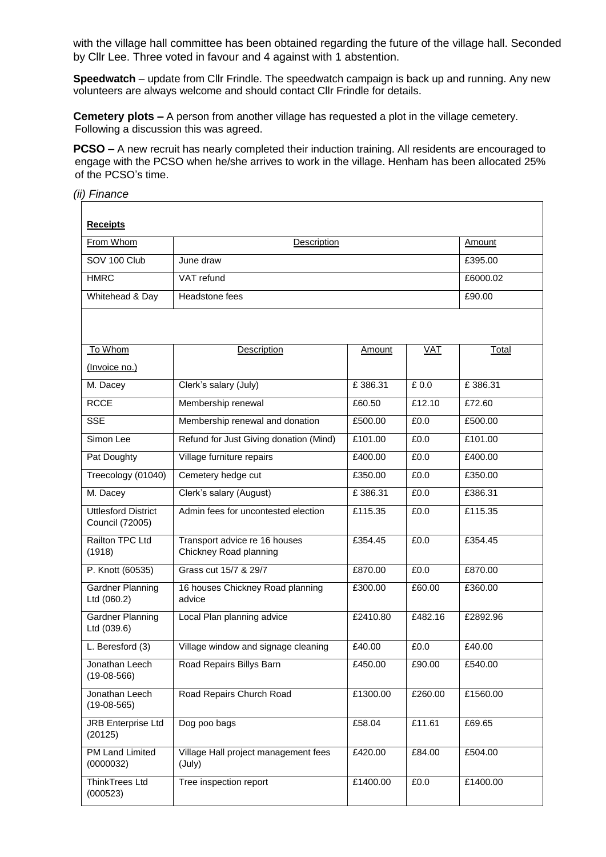with the village hall committee has been obtained regarding the future of the village hall. Seconded by Cllr Lee. Three voted in favour and 4 against with 1 abstention.

**Speedwatch** – update from Cllr Frindle. The speedwatch campaign is back up and running. Any new volunteers are always welcome and should contact Cllr Frindle for details.

**Cemetery plots –** A person from another village has requested a plot in the village cemetery. Following a discussion this was agreed.

**PCSO –** A new recruit has nearly completed their induction training. All residents are encouraged to engage with the PCSO when he/she arrives to work in the village. Henham has been allocated 25% of the PCSO's time.

#### *(ii) Finance*

| <b>Receipts</b>                               |                                                         |          |            |          |  |  |  |
|-----------------------------------------------|---------------------------------------------------------|----------|------------|----------|--|--|--|
| From Whom                                     | <b>Description</b>                                      | Amount   |            |          |  |  |  |
| SOV 100 Club                                  | June draw                                               | £395.00  |            |          |  |  |  |
| <b>HMRC</b>                                   | VAT refund                                              | £6000.02 |            |          |  |  |  |
| Whitehead & Day                               | Headstone fees                                          | £90.00   |            |          |  |  |  |
|                                               |                                                         |          |            |          |  |  |  |
| To Whom                                       | Description                                             | Amount   | <b>VAT</b> | Total    |  |  |  |
| (Invoice no.)                                 |                                                         |          |            |          |  |  |  |
| M. Dacey                                      | Clerk's salary (July)                                   | £386.31  | £0.0       | £386.31  |  |  |  |
| <b>RCCE</b>                                   | Membership renewal                                      | £60.50   | £12.10     | £72.60   |  |  |  |
| <b>SSE</b>                                    | Membership renewal and donation                         | £500.00  | £0.0       | £500.00  |  |  |  |
| Simon Lee                                     | Refund for Just Giving donation (Mind)                  | £101.00  | £0.0       | £101.00  |  |  |  |
| Pat Doughty                                   | Village furniture repairs                               | £400.00  | £0.0       | £400.00  |  |  |  |
| Treecology (01040)                            | Cemetery hedge cut                                      | £350.00  | £0.0       | £350.00  |  |  |  |
| M. Dacey                                      | Clerk's salary (August)                                 | £386.31  | £0.0       | £386.31  |  |  |  |
| <b>Uttlesford District</b><br>Council (72005) | Admin fees for uncontested election                     | £115.35  | £0.0       | £115.35  |  |  |  |
| Railton TPC Ltd<br>(1918)                     | Transport advice re 16 houses<br>Chickney Road planning | £354.45  | £0.0       | £354.45  |  |  |  |
| P. Knott (60535)                              | Grass cut 15/7 & 29/7                                   | £870.00  | £0.0       | £870.00  |  |  |  |
| Gardner Planning<br>Ltd (060.2)               | 16 houses Chickney Road planning<br>advice              | £300.00  | £60.00     | £360.00  |  |  |  |
| <b>Gardner Planning</b><br>Ltd (039.6)        | Local Plan planning advice                              | £2410.80 | £482.16    | £2892.96 |  |  |  |
| L. Beresford (3)                              | Village window and signage cleaning                     | £40.00   | £0.0       | £40.00   |  |  |  |
| Jonathan Leech<br>$(19-08-566)$               | Road Repairs Billys Barn                                | £450.00  | £90.00     | £540.00  |  |  |  |
| Jonathan Leech<br>$(19-08-565)$               | Road Repairs Church Road                                | £1300.00 | £260.00    | £1560.00 |  |  |  |
| <b>JRB Enterprise Ltd</b><br>(20125)          | Dog poo bags                                            | £58.04   | £11.61     | £69.65   |  |  |  |
| <b>PM Land Limited</b><br>(0000032)           | Village Hall project management fees<br>(July)          | £420.00  | £84.00     | £504.00  |  |  |  |
| ThinkTrees Ltd<br>(000523)                    | Tree inspection report                                  | £1400.00 | £0.0       | £1400.00 |  |  |  |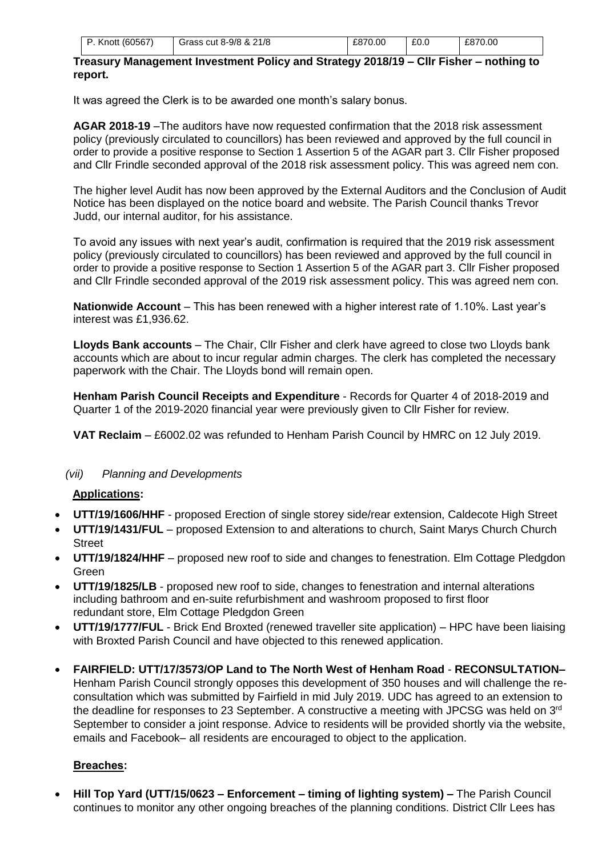| P. Knott (60567) | Grass cut 8-9/8 & 21/8 | £870.00 | £0.0 | £870.00 |
|------------------|------------------------|---------|------|---------|

#### **Treasury Management Investment Policy and Strategy 2018/19 – Cllr Fisher – nothing to report.**

It was agreed the Clerk is to be awarded one month's salary bonus.

**AGAR 2018-19** –The auditors have now requested confirmation that the 2018 risk assessment policy (previously circulated to councillors) has been reviewed and approved by the full council in order to provide a positive response to Section 1 Assertion 5 of the AGAR part 3. Cllr Fisher proposed and Cllr Frindle seconded approval of the 2018 risk assessment policy. This was agreed nem con.

The higher level Audit has now been approved by the External Auditors and the Conclusion of Audit Notice has been displayed on the notice board and website. The Parish Council thanks Trevor Judd, our internal auditor, for his assistance.

To avoid any issues with next year's audit, confirmation is required that the 2019 risk assessment policy (previously circulated to councillors) has been reviewed and approved by the full council in order to provide a positive response to Section 1 Assertion 5 of the AGAR part 3. Cllr Fisher proposed and Cllr Frindle seconded approval of the 2019 risk assessment policy. This was agreed nem con.

**Nationwide Account** – This has been renewed with a higher interest rate of 1.10%. Last year's interest was £1,936.62.

**Lloyds Bank accounts** – The Chair, Cllr Fisher and clerk have agreed to close two Lloyds bank accounts which are about to incur regular admin charges. The clerk has completed the necessary paperwork with the Chair. The Lloyds bond will remain open.

**Henham Parish Council Receipts and Expenditure** - Records for Quarter 4 of 2018-2019 and Quarter 1 of the 2019-2020 financial year were previously given to Cllr Fisher for review.

**VAT Reclaim** – £6002.02 was refunded to Henham Parish Council by HMRC on 12 July 2019.

#### *(vii) Planning and Developments*

#### **Applications:**

- **UTT/19/1606/HHF** proposed Erection of single storey side/rear extension, Caldecote High Street
- **UTT/19/1431/FUL** proposed Extension to and alterations to church, Saint Marys Church Church **Street**
- **UTT/19/1824/HHF** proposed new roof to side and changes to fenestration. Elm Cottage Pledgdon Green
- **UTT/19/1825/LB** proposed new roof to side, changes to fenestration and internal alterations including bathroom and en-suite refurbishment and washroom proposed to first floor redundant store, Elm Cottage Pledgdon Green
- **UTT/19/1777/FUL** Brick End Broxted (renewed traveller site application) HPC have been liaising with Broxted Parish Council and have objected to this renewed application.
- **FAIRFIELD: UTT/17/3573/OP Land to The North West of Henham Road RECONSULTATION–** Henham Parish Council strongly opposes this development of 350 houses and will challenge the reconsultation which was submitted by Fairfield in mid July 2019. UDC has agreed to an extension to the deadline for responses to 23 September. A constructive a meeting with JPCSG was held on 3<sup>rd</sup> September to consider a joint response. Advice to residents will be provided shortly via the website, emails and Facebook– all residents are encouraged to object to the application.

#### **Breaches:**

• **Hill Top Yard (UTT/15/0623 – Enforcement – timing of lighting system) –** The Parish Council continues to monitor any other ongoing breaches of the planning conditions. District Cllr Lees has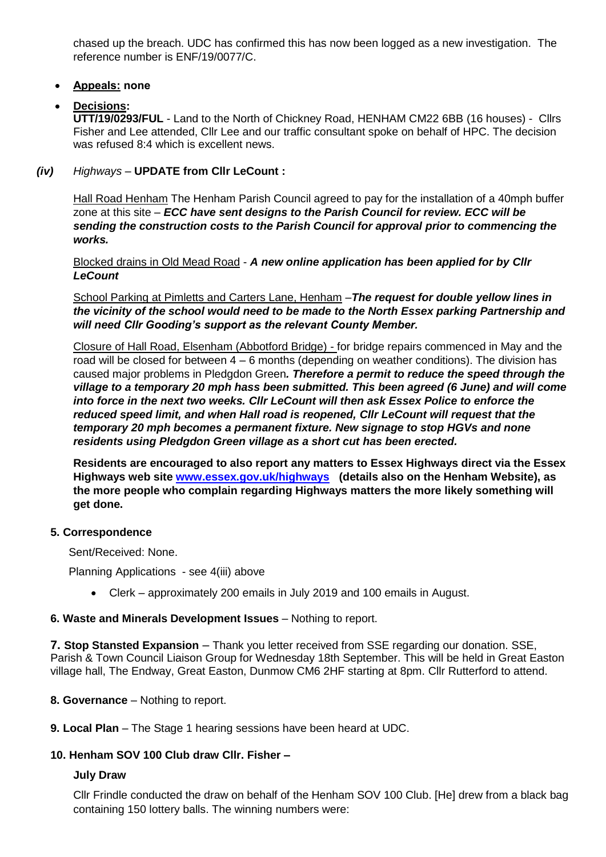chased up the breach. UDC has confirmed this has now been logged as a new investigation. The reference number is ENF/19/0077/C.

#### • **Appeals: none**

#### • **Decisions:**

**UTT/19/0293/FUL** - Land to the North of Chickney Road, HENHAM CM22 6BB (16 houses) - Cllrs Fisher and Lee attended, Cllr Lee and our traffic consultant spoke on behalf of HPC. The decision was refused 8:4 which is excellent news.

*(iv) Highways –* **UPDATE from Cllr LeCount :**

Hall Road Henham The Henham Parish Council agreed to pay for the installation of a 40mph buffer zone at this site – *ECC have sent designs to the Parish Council for review. ECC will be sending the construction costs to the Parish Council for approval prior to commencing the works.*

Blocked drains in Old Mead Road - *A new online application has been applied for by Cllr LeCount*

School Parking at Pimletts and Carters Lane, Henham –*The request for double yellow lines in the vicinity of the school would need to be made to the North Essex parking Partnership and will need Cllr Gooding's support as the relevant County Member.* 

Closure of Hall Road, Elsenham (Abbotford Bridge) - for bridge repairs commenced in May and the road will be closed for between 4 – 6 months (depending on weather conditions). The division has caused major problems in Pledgdon Green*. Therefore a permit to reduce the speed through the village to a temporary 20 mph hass been submitted. This been agreed (6 June) and will come into force in the next two weeks. Cllr LeCount will then ask Essex Police to enforce the reduced speed limit, and when Hall road is reopened, Cllr LeCount will request that the temporary 20 mph becomes a permanent fixture. New signage to stop HGVs and none residents using Pledgdon Green village as a short cut has been erected.*

**Residents are encouraged to also report any matters to Essex Highways direct via the Essex Highways web site [www.essex.gov.uk/highways](http://www.essex.gov.uk/highways) (details also on the Henham Website), as the more people who complain regarding Highways matters the more likely something will get done.**

#### **5. Correspondence**

Sent/Received: None.

Planning Applications - see 4(iii) above

• Clerk – approximately 200 emails in July 2019 and 100 emails in August.

#### **6. Waste and Minerals Development Issues - Nothing to report.**

**7. Stop Stansted Expansion** – Thank you letter received from SSE regarding our donation. SSE, Parish & Town Council Liaison Group for Wednesday 18th September. This will be held in Great Easton village hall, The Endway, Great Easton, Dunmow CM6 2HF starting at 8pm. Cllr Rutterford to attend.

#### **8. Governance** – Nothing to report.

**9. Local Plan** – The Stage 1 hearing sessions have been heard at UDC.

#### **10. Henham SOV 100 Club draw Cllr. Fisher –**

#### **July Draw**

Cllr Frindle conducted the draw on behalf of the Henham SOV 100 Club. [He] drew from a black bag containing 150 lottery balls. The winning numbers were: